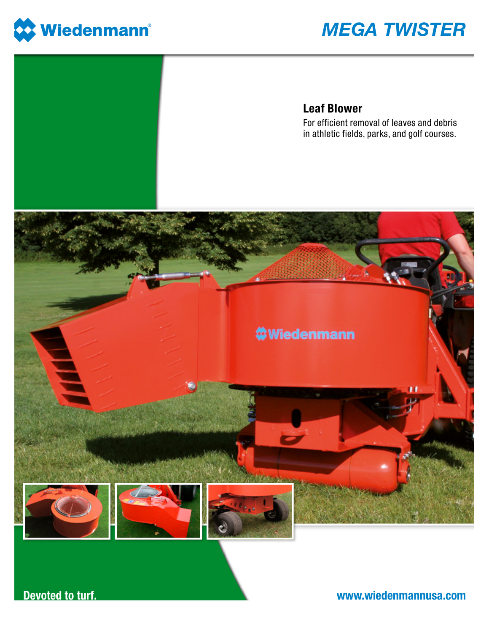

## **MEGA TWISTER**

## **Leaf Blower**

For efficient removal of leaves and debris in athletic fields, parks, and golf courses.



**Devoted to turf.** 

www.wiedenmannusa.com